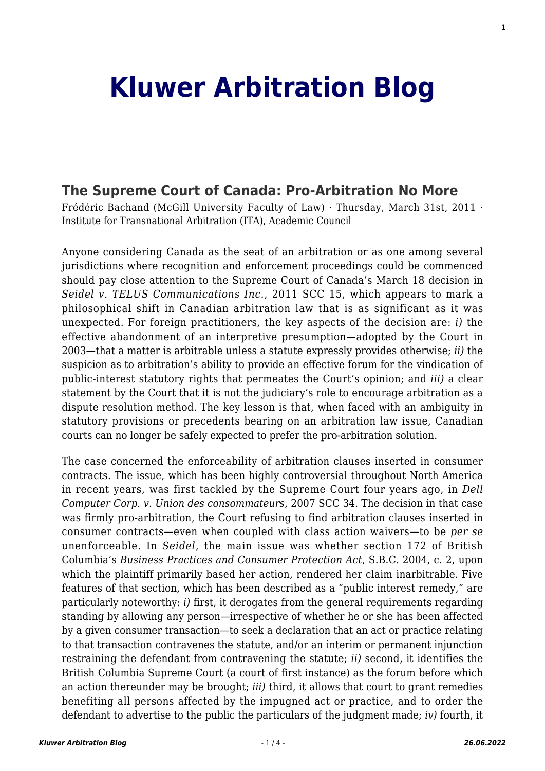# **[Kluwer Arbitration Blog](http://arbitrationblog.kluwerarbitration.com/)**

# **[The Supreme Court of Canada: Pro-Arbitration No More](http://arbitrationblog.kluwerarbitration.com/2011/03/31/the-supreme-court-of-canada-pro-arbitration-no-more/)**

Frédéric Bachand (McGill University Faculty of Law) · Thursday, March 31st, 2011 · Institute for Transnational Arbitration (ITA), Academic Council

Anyone considering Canada as the seat of an arbitration or as one among several jurisdictions where recognition and enforcement proceedings could be commenced should pay close attention to the Supreme Court of Canada's March 18 decision in *Seidel v. TELUS Communications Inc.*, 2011 SCC 15, which appears to mark a philosophical shift in Canadian arbitration law that is as significant as it was unexpected. For foreign practitioners, the key aspects of the decision are: *i)* the effective abandonment of an interpretive presumption—adopted by the Court in 2003—that a matter is arbitrable unless a statute expressly provides otherwise; *ii)* the suspicion as to arbitration's ability to provide an effective forum for the vindication of public-interest statutory rights that permeates the Court's opinion; and *iii)* a clear statement by the Court that it is not the judiciary's role to encourage arbitration as a dispute resolution method. The key lesson is that, when faced with an ambiguity in statutory provisions or precedents bearing on an arbitration law issue, Canadian courts can no longer be safely expected to prefer the pro-arbitration solution.

The case concerned the enforceability of arbitration clauses inserted in consumer contracts. The issue, which has been highly controversial throughout North America in recent years, was first tackled by the Supreme Court four years ago, in *Dell Computer Corp. v. Union des consommateurs*, 2007 SCC 34. The decision in that case was firmly pro-arbitration, the Court refusing to find arbitration clauses inserted in consumer contracts—even when coupled with class action waivers—to be *per se* unenforceable. In *Seidel*, the main issue was whether section 172 of British Columbia's *Business Practices and Consumer Protection Act*, S.B.C. 2004, c. 2, upon which the plaintiff primarily based her action, rendered her claim inarbitrable. Five features of that section, which has been described as a "public interest remedy," are particularly noteworthy: *i)* first, it derogates from the general requirements regarding standing by allowing any person—irrespective of whether he or she has been affected by a given consumer transaction—to seek a declaration that an act or practice relating to that transaction contravenes the statute, and/or an interim or permanent injunction restraining the defendant from contravening the statute; *ii)* second, it identifies the British Columbia Supreme Court (a court of first instance) as the forum before which an action thereunder may be brought; *iii)* third, it allows that court to grant remedies benefiting all persons affected by the impugned act or practice, and to order the defendant to advertise to the public the particulars of the judgment made; *iv)* fourth, it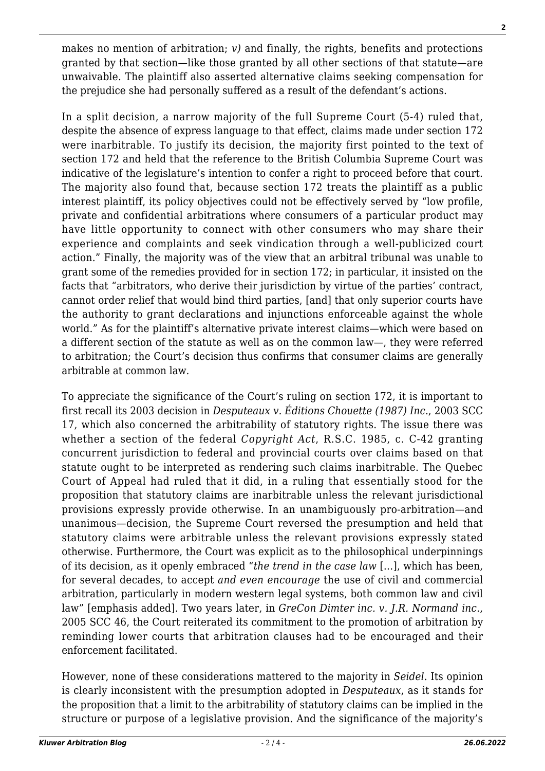makes no mention of arbitration; *v)* and finally, the rights, benefits and protections granted by that section—like those granted by all other sections of that statute—are unwaivable. The plaintiff also asserted alternative claims seeking compensation for the prejudice she had personally suffered as a result of the defendant's actions.

In a split decision, a narrow majority of the full Supreme Court (5-4) ruled that, despite the absence of express language to that effect, claims made under section 172 were inarbitrable. To justify its decision, the majority first pointed to the text of section 172 and held that the reference to the British Columbia Supreme Court was indicative of the legislature's intention to confer a right to proceed before that court. The majority also found that, because section 172 treats the plaintiff as a public interest plaintiff, its policy objectives could not be effectively served by "low profile, private and confidential arbitrations where consumers of a particular product may have little opportunity to connect with other consumers who may share their experience and complaints and seek vindication through a well-publicized court action." Finally, the majority was of the view that an arbitral tribunal was unable to grant some of the remedies provided for in section 172; in particular, it insisted on the facts that "arbitrators, who derive their jurisdiction by virtue of the parties' contract, cannot order relief that would bind third parties, [and] that only superior courts have the authority to grant declarations and injunctions enforceable against the whole world." As for the plaintiff's alternative private interest claims—which were based on a different section of the statute as well as on the common law—, they were referred to arbitration; the Court's decision thus confirms that consumer claims are generally arbitrable at common law.

To appreciate the significance of the Court's ruling on section 172, it is important to first recall its 2003 decision in *Desputeaux v. Éditions Chouette (1987) Inc*., 2003 SCC 17, which also concerned the arbitrability of statutory rights. The issue there was whether a section of the federal *Copyright Act*, R.S.C. 1985, c. C-42 granting concurrent jurisdiction to federal and provincial courts over claims based on that statute ought to be interpreted as rendering such claims inarbitrable. The Quebec Court of Appeal had ruled that it did, in a ruling that essentially stood for the proposition that statutory claims are inarbitrable unless the relevant jurisdictional provisions expressly provide otherwise. In an unambiguously pro-arbitration—and unanimous—decision, the Supreme Court reversed the presumption and held that statutory claims were arbitrable unless the relevant provisions expressly stated otherwise. Furthermore, the Court was explicit as to the philosophical underpinnings of its decision, as it openly embraced "*the trend in the case law* […], which has been, for several decades, to accept *and even encourage* the use of civil and commercial arbitration, particularly in modern western legal systems, both common law and civil law" [emphasis added]. Two years later, in *GreCon Dimter inc. v. J.R. Normand inc.*, 2005 SCC 46, the Court reiterated its commitment to the promotion of arbitration by reminding lower courts that arbitration clauses had to be encouraged and their enforcement facilitated.

However, none of these considerations mattered to the majority in *Seidel*. Its opinion is clearly inconsistent with the presumption adopted in *Desputeaux*, as it stands for the proposition that a limit to the arbitrability of statutory claims can be implied in the structure or purpose of a legislative provision. And the significance of the majority's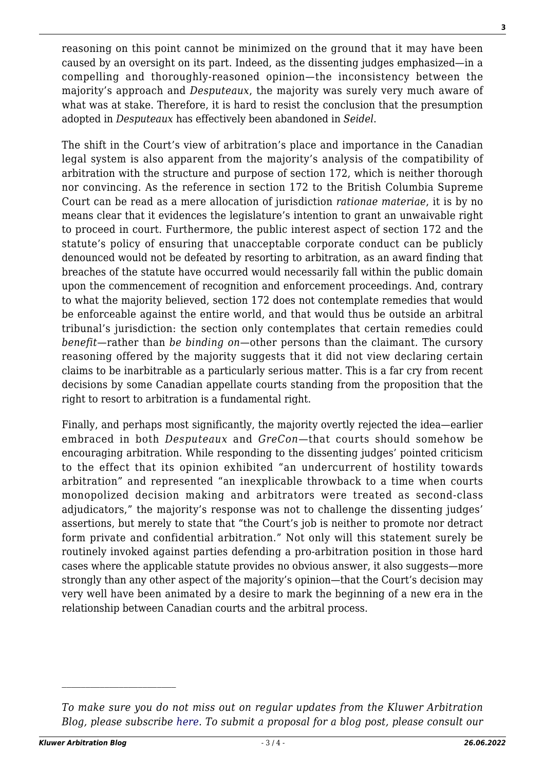reasoning on this point cannot be minimized on the ground that it may have been caused by an oversight on its part. Indeed, as the dissenting judges emphasized—in a compelling and thoroughly-reasoned opinion—the inconsistency between the majority's approach and *Desputeaux*, the majority was surely very much aware of what was at stake. Therefore, it is hard to resist the conclusion that the presumption adopted in *Desputeaux* has effectively been abandoned in *Seidel*.

The shift in the Court's view of arbitration's place and importance in the Canadian legal system is also apparent from the majority's analysis of the compatibility of arbitration with the structure and purpose of section 172, which is neither thorough nor convincing. As the reference in section 172 to the British Columbia Supreme Court can be read as a mere allocation of jurisdiction *rationae materiae*, it is by no means clear that it evidences the legislature's intention to grant an unwaivable right to proceed in court. Furthermore, the public interest aspect of section 172 and the statute's policy of ensuring that unacceptable corporate conduct can be publicly denounced would not be defeated by resorting to arbitration, as an award finding that breaches of the statute have occurred would necessarily fall within the public domain upon the commencement of recognition and enforcement proceedings. And, contrary to what the majority believed, section 172 does not contemplate remedies that would be enforceable against the entire world, and that would thus be outside an arbitral tribunal's jurisdiction: the section only contemplates that certain remedies could *benefit*—rather than *be binding on*—other persons than the claimant. The cursory reasoning offered by the majority suggests that it did not view declaring certain claims to be inarbitrable as a particularly serious matter. This is a far cry from recent decisions by some Canadian appellate courts standing from the proposition that the right to resort to arbitration is a fundamental right.

Finally, and perhaps most significantly, the majority overtly rejected the idea—earlier embraced in both *Desputeaux* and *GreCon*—that courts should somehow be encouraging arbitration. While responding to the dissenting judges' pointed criticism to the effect that its opinion exhibited "an undercurrent of hostility towards arbitration" and represented "an inexplicable throwback to a time when courts monopolized decision making and arbitrators were treated as second-class adjudicators," the majority's response was not to challenge the dissenting judges' assertions, but merely to state that "the Court's job is neither to promote nor detract form private and confidential arbitration." Not only will this statement surely be routinely invoked against parties defending a pro-arbitration position in those hard cases where the applicable statute provides no obvious answer, it also suggests—more strongly than any other aspect of the majority's opinion—that the Court's decision may very well have been animated by a desire to mark the beginning of a new era in the relationship between Canadian courts and the arbitral process.

*To make sure you do not miss out on regular updates from the Kluwer Arbitration Blog, please subscribe [here](http://arbitrationblog.kluwerarbitration.com/newsletter/). To submit a proposal for a blog post, please consult our*